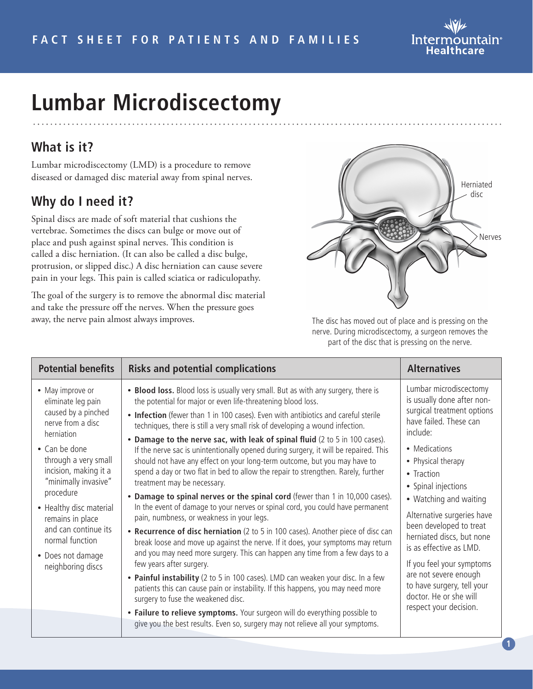

# **Lumbar Microdiscectomy**

## **What is it?**

Lumbar microdiscectomy (LMD) is a procedure to remove diseased or damaged disc material away from spinal nerves.

## **Why do I need it?**

Spinal discs are made of soft material that cushions the vertebrae. Sometimes the discs can bulge or move out of place and push against spinal nerves. This condition is called a disc herniation. (It can also be called a disc bulge, protrusion, or slipped disc.) A disc herniation can cause severe pain in your legs. This pain is called sciatica or radiculopathy.

The goal of the surgery is to remove the abnormal disc material and take the pressure off the nerves. When the pressure goes away, the nerve pain almost always improves.



The disc has moved out of place and is pressing on the nerve. During microdiscectomy, a surgeon removes the part of the disc that is pressing on the nerve.

| <b>Potential benefits</b>                                                                                                                                                                                                                                                                                                                   | <b>Risks and potential complications</b>                                                                                                                                                                                                                                                                                                                                                                                                                                                                                                                                                                                                                                                                                                                                                                                                                                                                                                                                                                                                                                                                                                                                                                                                                                                                                                                                                                                                                                                     | <b>Alternatives</b>                                                                                                                                                                                                                                                                                                                                                                                                                                                                     |
|---------------------------------------------------------------------------------------------------------------------------------------------------------------------------------------------------------------------------------------------------------------------------------------------------------------------------------------------|----------------------------------------------------------------------------------------------------------------------------------------------------------------------------------------------------------------------------------------------------------------------------------------------------------------------------------------------------------------------------------------------------------------------------------------------------------------------------------------------------------------------------------------------------------------------------------------------------------------------------------------------------------------------------------------------------------------------------------------------------------------------------------------------------------------------------------------------------------------------------------------------------------------------------------------------------------------------------------------------------------------------------------------------------------------------------------------------------------------------------------------------------------------------------------------------------------------------------------------------------------------------------------------------------------------------------------------------------------------------------------------------------------------------------------------------------------------------------------------------|-----------------------------------------------------------------------------------------------------------------------------------------------------------------------------------------------------------------------------------------------------------------------------------------------------------------------------------------------------------------------------------------------------------------------------------------------------------------------------------------|
| • May improve or<br>eliminate leg pain<br>caused by a pinched<br>nerve from a disc<br>herniation<br>• Can be done<br>through a very small<br>incision, making it a<br>"minimally invasive"<br>procedure<br>• Healthy disc material<br>remains in place<br>and can continue its<br>normal function<br>• Does not damage<br>neighboring discs | • Blood loss. Blood loss is usually very small. But as with any surgery, there is<br>the potential for major or even life-threatening blood loss.<br>• Infection (fewer than 1 in 100 cases). Even with antibiotics and careful sterile<br>techniques, there is still a very small risk of developing a wound infection.<br>• Damage to the nerve sac, with leak of spinal fluid (2 to 5 in 100 cases).<br>If the nerve sac is unintentionally opened during surgery, it will be repaired. This<br>should not have any effect on your long-term outcome, but you may have to<br>spend a day or two flat in bed to allow the repair to strengthen. Rarely, further<br>treatment may be necessary.<br>• Damage to spinal nerves or the spinal cord (fewer than 1 in 10,000 cases).<br>In the event of damage to your nerves or spinal cord, you could have permanent<br>pain, numbness, or weakness in your legs.<br>• Recurrence of disc herniation (2 to 5 in 100 cases). Another piece of disc can<br>break loose and move up against the nerve. If it does, your symptoms may return<br>and you may need more surgery. This can happen any time from a few days to a<br>few years after surgery.<br>• Painful instability (2 to 5 in 100 cases). LMD can weaken your disc. In a few<br>patients this can cause pain or instability. If this happens, you may need more<br>surgery to fuse the weakened disc.<br>• Failure to relieve symptoms. Your surgeon will do everything possible to | Lumbar microdiscectomy<br>is usually done after non-<br>surgical treatment options<br>have failed. These can<br>include:<br>• Medications<br>• Physical therapy<br>• Traction<br>• Spinal injections<br>• Watching and waiting<br>Alternative surgeries have<br>been developed to treat<br>herniated discs, but none<br>is as effective as LMD.<br>If you feel your symptoms<br>are not severe enough<br>to have surgery, tell your<br>doctor. He or she will<br>respect your decision. |
|                                                                                                                                                                                                                                                                                                                                             | give you the best results. Even so, surgery may not relieve all your symptoms.                                                                                                                                                                                                                                                                                                                                                                                                                                                                                                                                                                                                                                                                                                                                                                                                                                                                                                                                                                                                                                                                                                                                                                                                                                                                                                                                                                                                               |                                                                                                                                                                                                                                                                                                                                                                                                                                                                                         |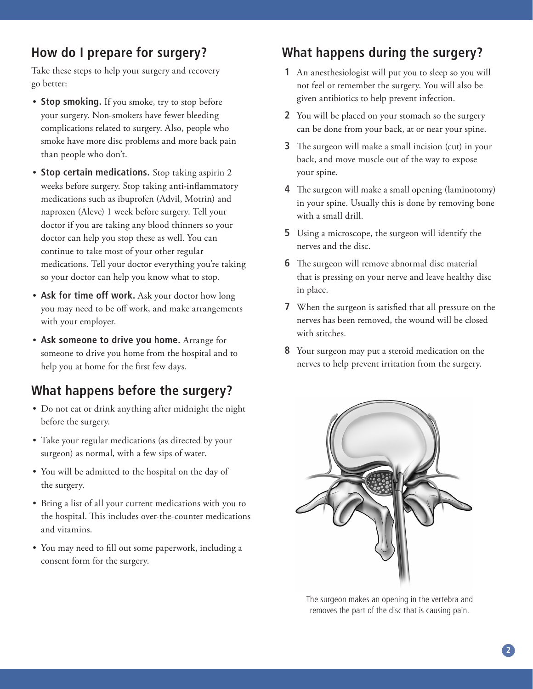## **How do I prepare for surgery?**

Take these steps to help your surgery and recovery go better:

- **Stop smoking.** If you smoke, try to stop before your surgery. Non-smokers have fewer bleeding complications related to surgery. Also, people who smoke have more disc problems and more back pain than people who don't.
- **Stop certain medications.** Stop taking aspirin 2 weeks before surgery. Stop taking anti-inflammatory medications such as ibuprofen (Advil, Motrin) and naproxen (Aleve) 1 week before surgery. Tell your doctor if you are taking any blood thinners so your doctor can help you stop these as well. You can continue to take most of your other regular medications. Tell your doctor everything you're taking so your doctor can help you know what to stop.
- **Ask for time off work.** Ask your doctor how long you may need to be off work, and make arrangements with your employer.
- **Ask someone to drive you home.** Arrange for someone to drive you home from the hospital and to help you at home for the first few days.

## **What happens before the surgery?**

- Do not eat or drink anything after midnight the night before the surgery.
- Take your regular medications (as directed by your surgeon) as normal, with a few sips of water.
- You will be admitted to the hospital on the day of the surgery.
- Bring a list of all your current medications with you to the hospital. This includes over-the-counter medications and vitamins.
- You may need to fill out some paperwork, including a consent form for the surgery.

# **What happens during the surgery?**

- **1** An anesthesiologist will put you to sleep so you will not feel or remember the surgery. You will also be given antibiotics to help prevent infection.
- **2** You will be placed on your stomach so the surgery can be done from your back, at or near your spine.
- **3** The surgeon will make a small incision (cut) in your back, and move muscle out of the way to expose your spine.
- **4** The surgeon will make a small opening (laminotomy) in your spine. Usually this is done by removing bone with a small drill.
- **5** Using a microscope, the surgeon will identify the nerves and the disc.
- **6** The surgeon will remove abnormal disc material that is pressing on your nerve and leave healthy disc in place.
- **7** When the surgeon is satisfied that all pressure on the nerves has been removed, the wound will be closed with stitches.
- **8** Your surgeon may put a steroid medication on the nerves to help prevent irritation from the surgery.



The surgeon makes an opening in the vertebra and removes the part of the disc that is causing pain.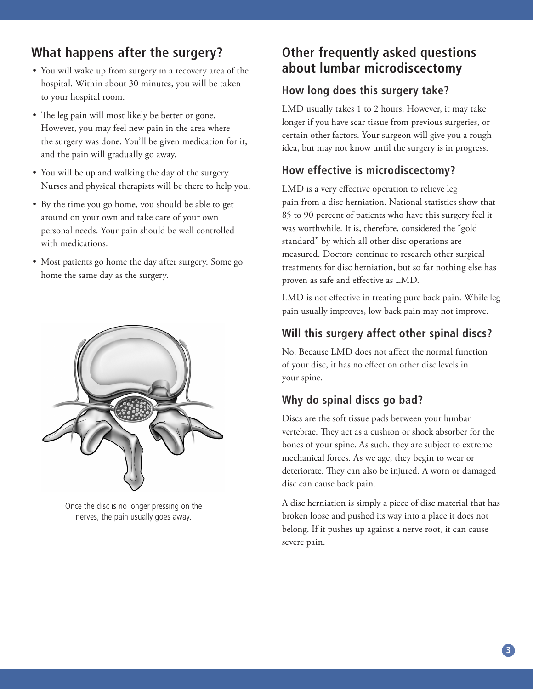## **What happens after the surgery?**

- You will wake up from surgery in a recovery area of the hospital. Within about 30 minutes, you will be taken to your hospital room.
- The leg pain will most likely be better or gone. However, you may feel new pain in the area where the surgery was done. You'll be given medication for it, and the pain will gradually go away.
- You will be up and walking the day of the surgery. Nurses and physical therapists will be there to help you.
- By the time you go home, you should be able to get around on your own and take care of your own personal needs. Your pain should be well controlled with medications.
- Most patients go home the day after surgery. Some go home the same day as the surgery.



Once the disc is no longer pressing on the nerves, the pain usually goes away.

## **Other frequently asked questions about lumbar microdiscectomy**

#### **How long does this surgery take?**

LMD usually takes 1 to 2 hours. However, it may take longer if you have scar tissue from previous surgeries, or certain other factors. Your surgeon will give you a rough idea, but may not know until the surgery is in progress.

### **How effective is microdiscectomy?**

LMD is a very effective operation to relieve leg pain from a disc herniation. National statistics show that 85 to 90 percent of patients who have this surgery feel it was worthwhile. It is, therefore, considered the "gold standard" by which all other disc operations are measured. Doctors continue to research other surgical treatments for disc herniation, but so far nothing else has proven as safe and effective as LMD.

LMD is not effective in treating pure back pain. While leg pain usually improves, low back pain may not improve.

#### **Will this surgery affect other spinal discs?**

No. Because LMD does not affect the normal function of your disc, it has no effect on other disc levels in your spine.

## **Why do spinal discs go bad?**

Discs are the soft tissue pads between your lumbar vertebrae. They act as a cushion or shock absorber for the bones of your spine. As such, they are subject to extreme mechanical forces. As we age, they begin to wear or deteriorate. They can also be injured. A worn or damaged disc can cause back pain.

A disc herniation is simply a piece of disc material that has broken loose and pushed its way into a place it does not belong. If it pushes up against a nerve root, it can cause severe pain.